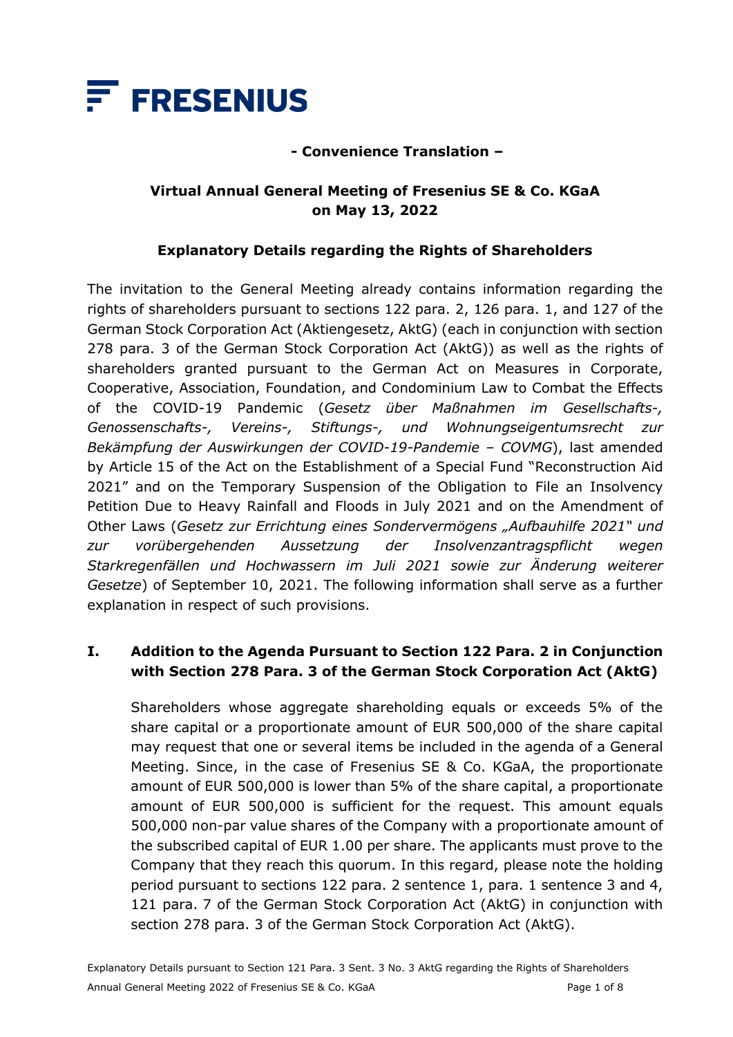

### **- Convenience Translation –**

### **Virtual Annual General Meeting of Fresenius SE & Co. KGaA on May 13, 2022**

### **Explanatory Details regarding the Rights of Shareholders**

The invitation to the General Meeting already contains information regarding the rights of shareholders pursuant to sections 122 para. 2, 126 para. 1, and 127 of the German Stock Corporation Act (Aktiengesetz, AktG) (each in conjunction with section 278 para. 3 of the German Stock Corporation Act (AktG)) as well as the rights of shareholders granted pursuant to the German Act on Measures in Corporate, Cooperative, Association, Foundation, and Condominium Law to Combat the Effects of the COVID-19 Pandemic (*Gesetz über Maßnahmen im Gesellschafts-, Genossenschafts-, Vereins-, Stiftungs-, und Wohnungseigentumsrecht zur Bekämpfung der Auswirkungen der COVID-19-Pandemie – COVMG*), last amended by Article 15 of the Act on the Establishment of a Special Fund "Reconstruction Aid 2021" and on the Temporary Suspension of the Obligation to File an Insolvency Petition Due to Heavy Rainfall and Floods in July 2021 and on the Amendment of Other Laws (*Gesetz zur Errichtung eines Sondervermögens "Aufbauhilfe 2021" und zur vorübergehenden Aussetzung der Insolvenzantragspflicht wegen Starkregenfällen und Hochwassern im Juli 2021 sowie zur Änderung weiterer Gesetze*) of September 10, 2021. The following information shall serve as a further explanation in respect of such provisions.

### **I. Addition to the Agenda Pursuant to Section 122 Para. 2 in Conjunction with Section 278 Para. 3 of the German Stock Corporation Act (AktG)**

Shareholders whose aggregate shareholding equals or exceeds 5% of the share capital or a proportionate amount of EUR 500,000 of the share capital may request that one or several items be included in the agenda of a General Meeting. Since, in the case of Fresenius SE & Co. KGaA, the proportionate amount of EUR 500,000 is lower than 5% of the share capital, a proportionate amount of EUR 500,000 is sufficient for the request. This amount equals 500,000 non-par value shares of the Company with a proportionate amount of the subscribed capital of EUR 1.00 per share. The applicants must prove to the Company that they reach this quorum. In this regard, please note the holding period pursuant to sections 122 para. 2 sentence 1, para. 1 sentence 3 and 4, 121 para. 7 of the German Stock Corporation Act (AktG) in conjunction with section 278 para. 3 of the German Stock Corporation Act (AktG).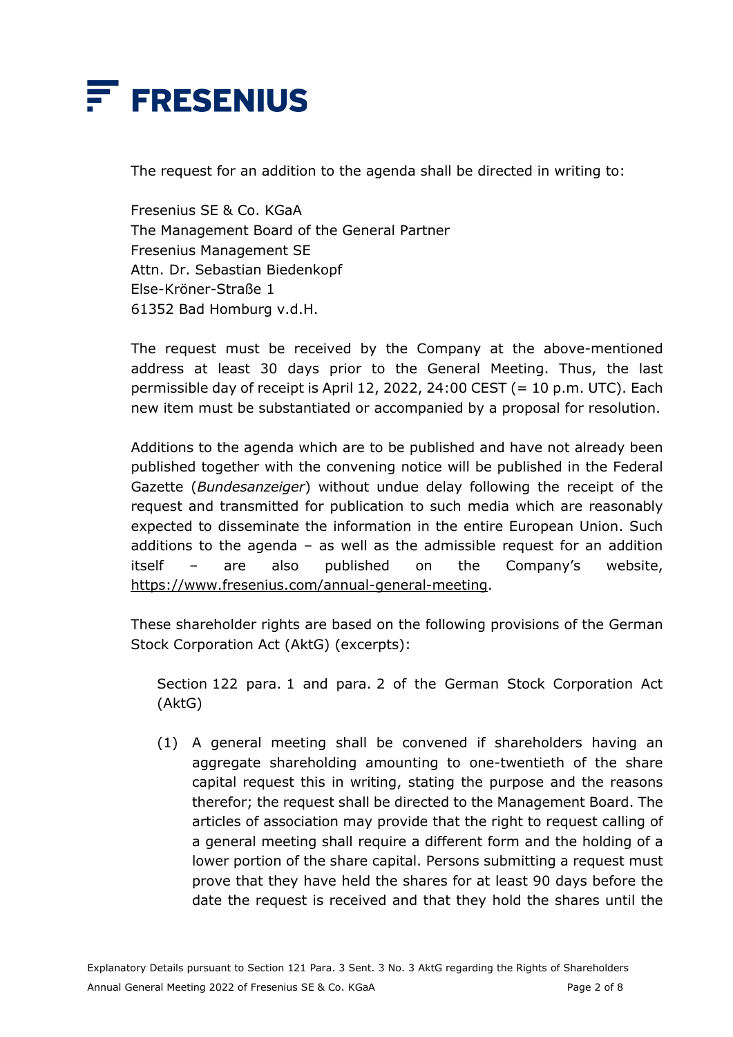

The request for an addition to the agenda shall be directed in writing to:

Fresenius SE & Co. KGaA The Management Board of the General Partner Fresenius Management SE Attn. Dr. Sebastian Biedenkopf Else-Kröner-Straße 1 61352 Bad Homburg v.d.H.

The request must be received by the Company at the above-mentioned address at least 30 days prior to the General Meeting. Thus, the last permissible day of receipt is April 12, 2022, 24:00 CEST (= 10 p.m. UTC). Each new item must be substantiated or accompanied by a proposal for resolution.

Additions to the agenda which are to be published and have not already been published together with the convening notice will be published in the Federal Gazette (*Bundesanzeiger*) without undue delay following the receipt of the request and transmitted for publication to such media which are reasonably expected to disseminate the information in the entire European Union. Such additions to the agenda  $-$  as well as the admissible request for an addition itself – are also published on the Company's website, [https://www.fresenius.com/annual-general-meeting.](https://www.fresenius.com/annual-general-meeting)

These shareholder rights are based on the following provisions of the German Stock Corporation Act (AktG) (excerpts):

Section 122 para. 1 and para. 2 of the German Stock Corporation Act (AktG)

(1) A general meeting shall be convened if shareholders having an aggregate shareholding amounting to one-twentieth of the share capital request this in writing, stating the purpose and the reasons therefor; the request shall be directed to the Management Board. The articles of association may provide that the right to request calling of a general meeting shall require a different form and the holding of a lower portion of the share capital. Persons submitting a request must prove that they have held the shares for at least 90 days before the date the request is received and that they hold the shares until the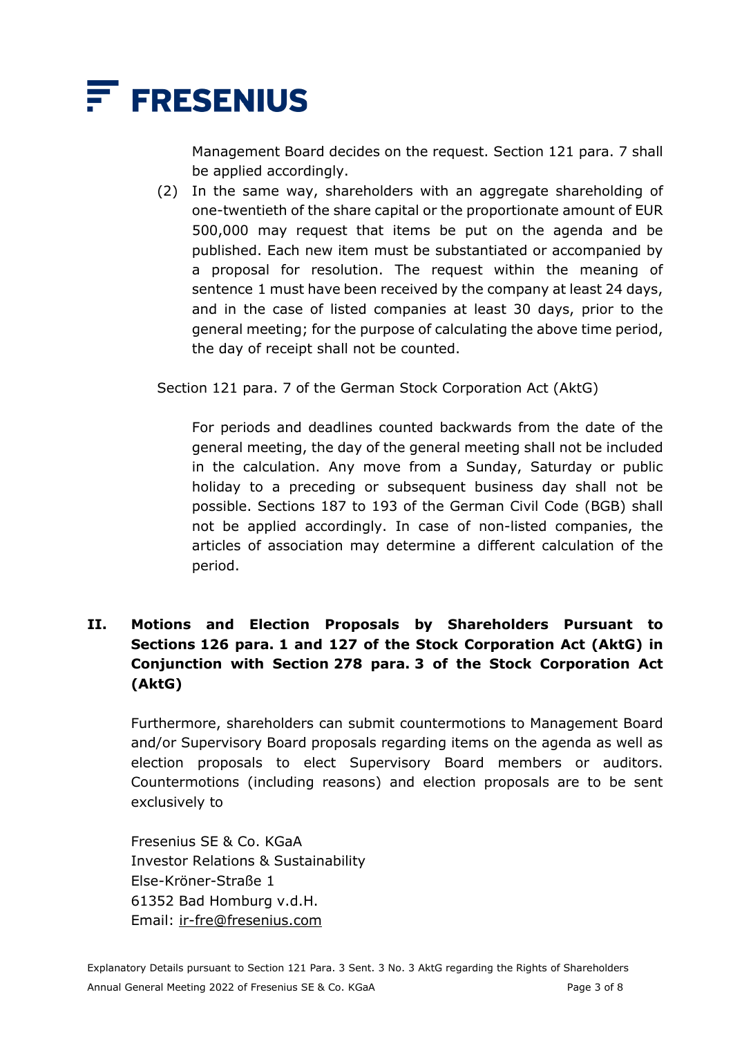

Management Board decides on the request. Section 121 para. 7 shall be applied accordingly.

(2) In the same way, shareholders with an aggregate shareholding of one-twentieth of the share capital or the proportionate amount of EUR 500,000 may request that items be put on the agenda and be published. Each new item must be substantiated or accompanied by a proposal for resolution. The request within the meaning of sentence 1 must have been received by the company at least 24 days, and in the case of listed companies at least 30 days, prior to the general meeting; for the purpose of calculating the above time period, the day of receipt shall not be counted.

Section 121 para. 7 of the German Stock Corporation Act (AktG)

For periods and deadlines counted backwards from the date of the general meeting, the day of the general meeting shall not be included in the calculation. Any move from a Sunday, Saturday or public holiday to a preceding or subsequent business day shall not be possible. Sections 187 to 193 of the German Civil Code (BGB) shall not be applied accordingly. In case of non-listed companies, the articles of association may determine a different calculation of the period.

### **II. Motions and Election Proposals by Shareholders Pursuant to Sections 126 para. 1 and 127 of the Stock Corporation Act (AktG) in Conjunction with Section 278 para. 3 of the Stock Corporation Act (AktG)**

Furthermore, shareholders can submit countermotions to Management Board and/or Supervisory Board proposals regarding items on the agenda as well as election proposals to elect Supervisory Board members or auditors. Countermotions (including reasons) and election proposals are to be sent exclusively to

Fresenius SE & Co. KGaA Investor Relations & Sustainability Else-Kröner-Straße 1 61352 Bad Homburg v.d.H. Email: [ir-fre@fresenius.com](mailto:ir-fre@fresenius.com)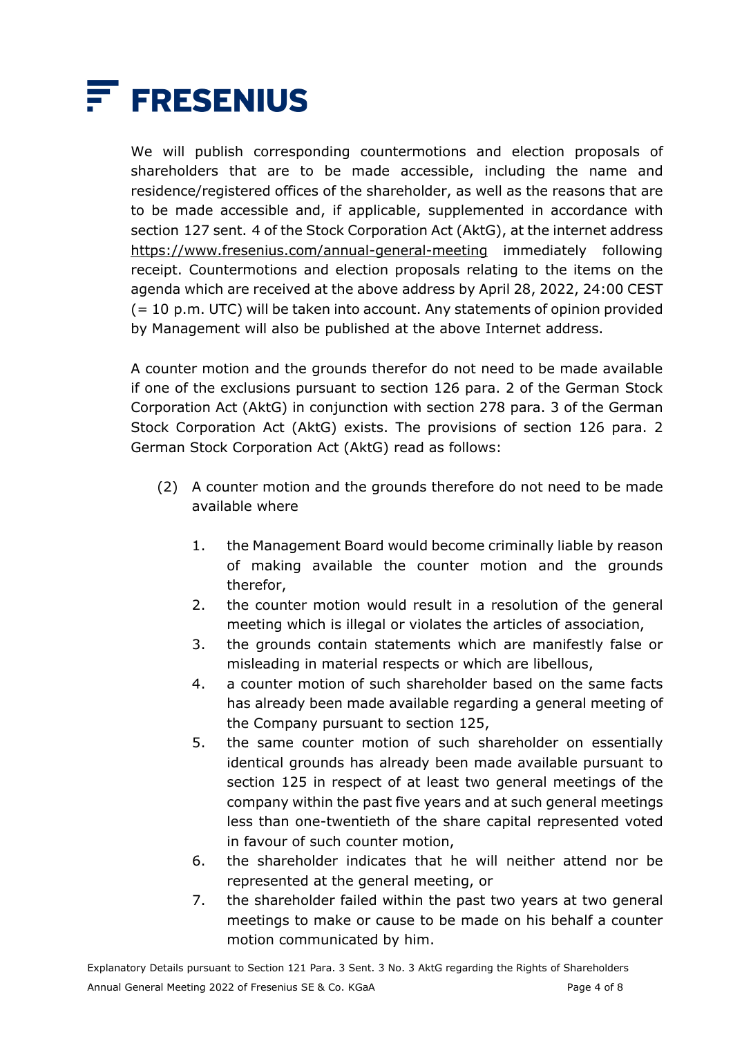

We will publish corresponding countermotions and election proposals of shareholders that are to be made accessible, including the name and residence/registered offices of the shareholder, as well as the reasons that are to be made accessible and, if applicable, supplemented in accordance with section 127 sent. 4 of the Stock Corporation Act (AktG), at the internet address <https://www.fresenius.com/annual-general-meeting> immediately following receipt. Countermotions and election proposals relating to the items on the agenda which are received at the above address by April 28, 2022, 24:00 CEST (= 10 p.m. UTC) will be taken into account. Any statements of opinion provided by Management will also be published at the above Internet address.

A counter motion and the grounds therefor do not need to be made available if one of the exclusions pursuant to section 126 para. 2 of the German Stock Corporation Act (AktG) in conjunction with section 278 para. 3 of the German Stock Corporation Act (AktG) exists. The provisions of section 126 para. 2 German Stock Corporation Act (AktG) read as follows:

- (2) A counter motion and the grounds therefore do not need to be made available where
	- 1. the Management Board would become criminally liable by reason of making available the counter motion and the grounds therefor,
	- 2. the counter motion would result in a resolution of the general meeting which is illegal or violates the articles of association,
	- 3. the grounds contain statements which are manifestly false or misleading in material respects or which are libellous,
	- 4. a counter motion of such shareholder based on the same facts has already been made available regarding a general meeting of the Company pursuant to section 125,
	- 5. the same counter motion of such shareholder on essentially identical grounds has already been made available pursuant to section 125 in respect of at least two general meetings of the company within the past five years and at such general meetings less than one-twentieth of the share capital represented voted in favour of such counter motion,
	- 6. the shareholder indicates that he will neither attend nor be represented at the general meeting, or
	- 7. the shareholder failed within the past two years at two general meetings to make or cause to be made on his behalf a counter motion communicated by him.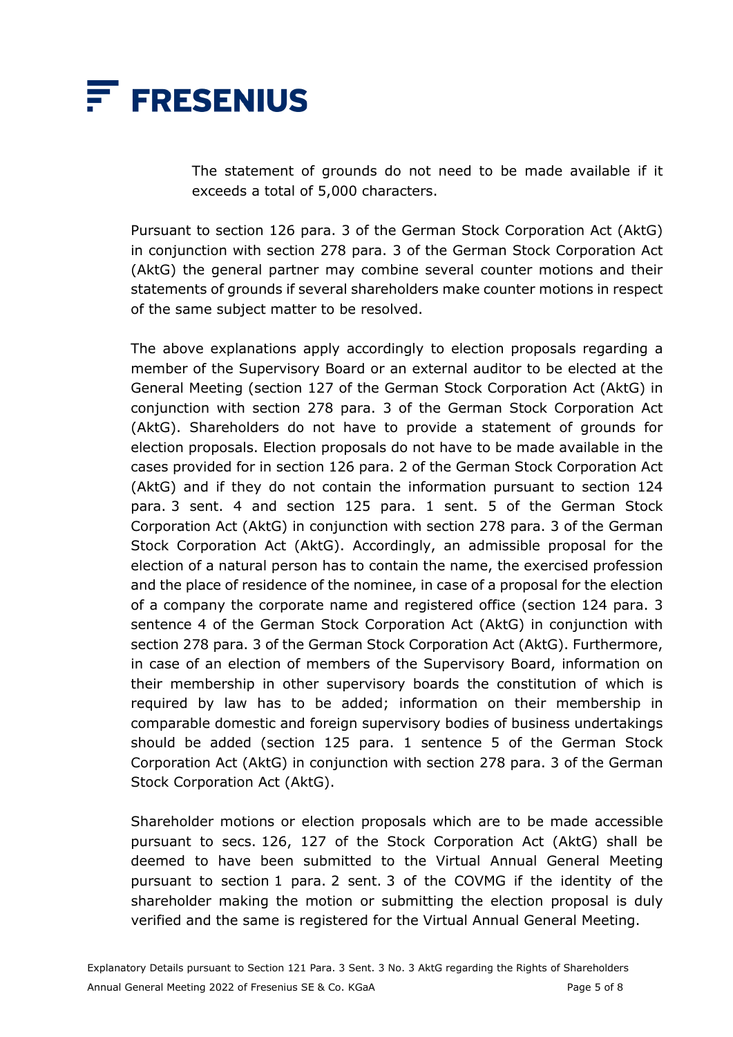

The statement of grounds do not need to be made available if it exceeds a total of 5,000 characters.

Pursuant to section 126 para. 3 of the German Stock Corporation Act (AktG) in conjunction with section 278 para. 3 of the German Stock Corporation Act (AktG) the general partner may combine several counter motions and their statements of grounds if several shareholders make counter motions in respect of the same subject matter to be resolved.

The above explanations apply accordingly to election proposals regarding a member of the Supervisory Board or an external auditor to be elected at the General Meeting (section 127 of the German Stock Corporation Act (AktG) in conjunction with section 278 para. 3 of the German Stock Corporation Act (AktG). Shareholders do not have to provide a statement of grounds for election proposals. Election proposals do not have to be made available in the cases provided for in section 126 para. 2 of the German Stock Corporation Act (AktG) and if they do not contain the information pursuant to section 124 para. 3 sent. 4 and section 125 para. 1 sent. 5 of the German Stock Corporation Act (AktG) in conjunction with section 278 para. 3 of the German Stock Corporation Act (AktG). Accordingly, an admissible proposal for the election of a natural person has to contain the name, the exercised profession and the place of residence of the nominee, in case of a proposal for the election of a company the corporate name and registered office (section 124 para. 3 sentence 4 of the German Stock Corporation Act (AktG) in conjunction with section 278 para. 3 of the German Stock Corporation Act (AktG). Furthermore, in case of an election of members of the Supervisory Board, information on their membership in other supervisory boards the constitution of which is required by law has to be added; information on their membership in comparable domestic and foreign supervisory bodies of business undertakings should be added (section 125 para. 1 sentence 5 of the German Stock Corporation Act (AktG) in conjunction with section 278 para. 3 of the German Stock Corporation Act (AktG).

Shareholder motions or election proposals which are to be made accessible pursuant to secs. 126, 127 of the Stock Corporation Act (AktG) shall be deemed to have been submitted to the Virtual Annual General Meeting pursuant to section 1 para. 2 sent. 3 of the COVMG if the identity of the shareholder making the motion or submitting the election proposal is duly verified and the same is registered for the Virtual Annual General Meeting.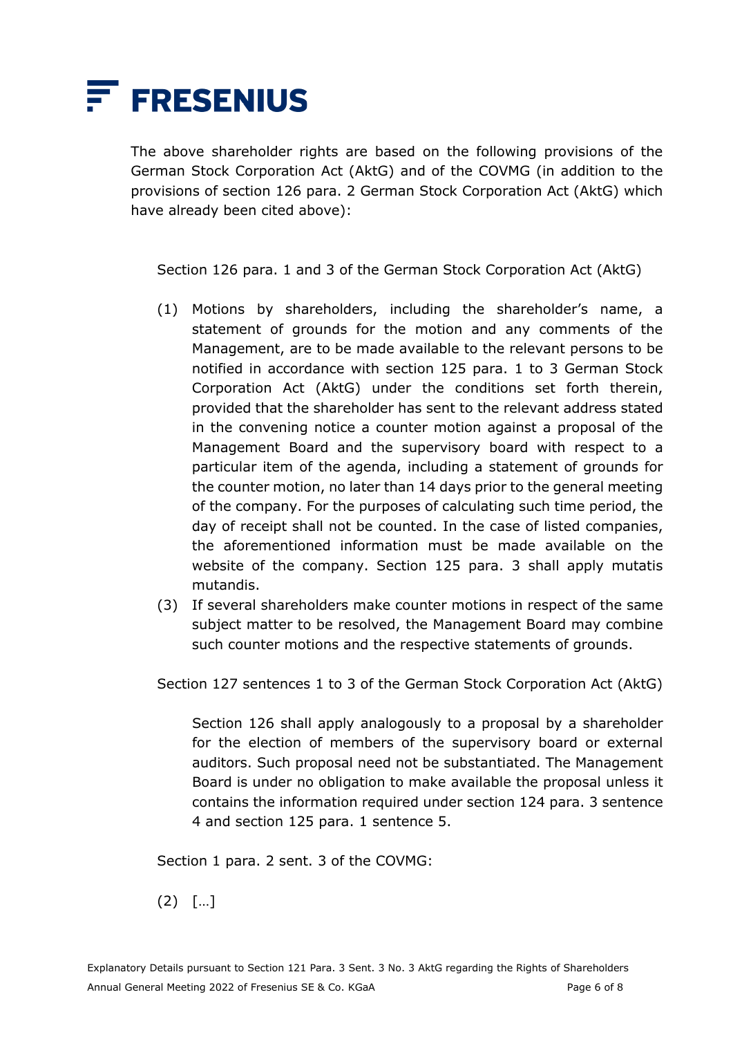

The above shareholder rights are based on the following provisions of the German Stock Corporation Act (AktG) and of the COVMG (in addition to the provisions of section 126 para. 2 German Stock Corporation Act (AktG) which have already been cited above):

Section 126 para. 1 and 3 of the German Stock Corporation Act (AktG)

- (1) Motions by shareholders, including the shareholder's name, a statement of grounds for the motion and any comments of the Management, are to be made available to the relevant persons to be notified in accordance with section 125 para. 1 to 3 German Stock Corporation Act (AktG) under the conditions set forth therein, provided that the shareholder has sent to the relevant address stated in the convening notice a counter motion against a proposal of the Management Board and the supervisory board with respect to a particular item of the agenda, including a statement of grounds for the counter motion, no later than 14 days prior to the general meeting of the company. For the purposes of calculating such time period, the day of receipt shall not be counted. In the case of listed companies, the aforementioned information must be made available on the website of the company. Section 125 para. 3 shall apply mutatis mutandis.
- (3) If several shareholders make counter motions in respect of the same subject matter to be resolved, the Management Board may combine such counter motions and the respective statements of grounds.

Section 127 sentences 1 to 3 of the German Stock Corporation Act (AktG)

Section 126 shall apply analogously to a proposal by a shareholder for the election of members of the supervisory board or external auditors. Such proposal need not be substantiated. The Management Board is under no obligation to make available the proposal unless it contains the information required under section 124 para. 3 sentence 4 and section 125 para. 1 sentence 5.

Section 1 para. 2 sent. 3 of the COVMG:

(2) […]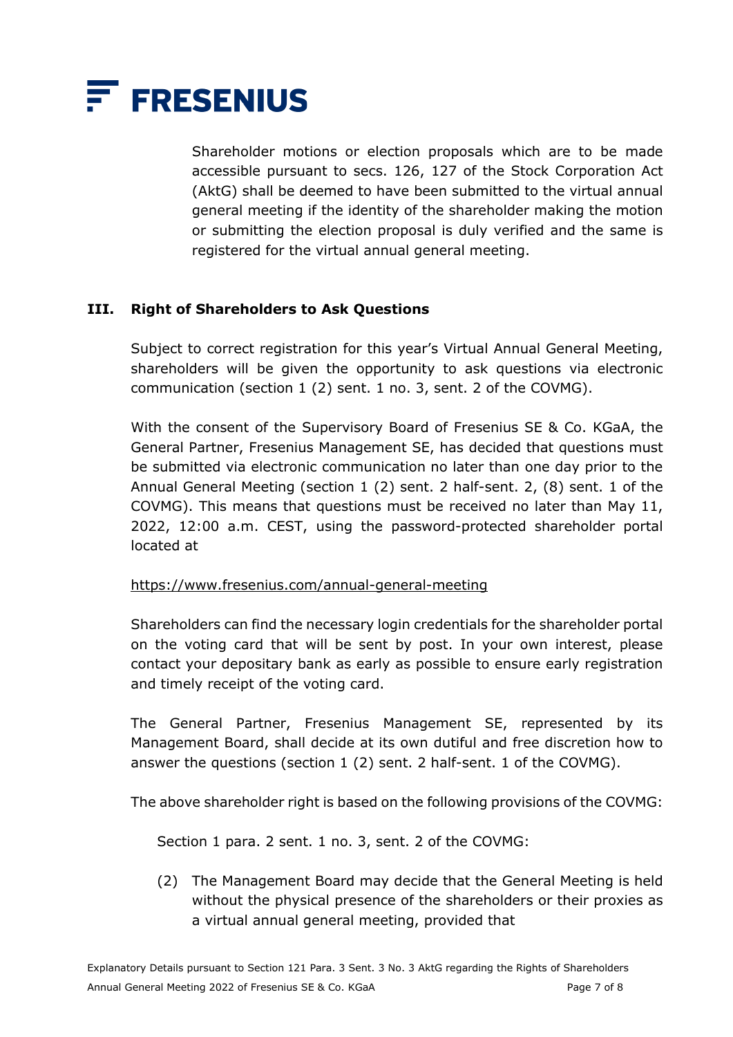

Shareholder motions or election proposals which are to be made accessible pursuant to secs. 126, 127 of the Stock Corporation Act (AktG) shall be deemed to have been submitted to the virtual annual general meeting if the identity of the shareholder making the motion or submitting the election proposal is duly verified and the same is registered for the virtual annual general meeting.

### **III. Right of Shareholders to Ask Questions**

Subject to correct registration for this year's Virtual Annual General Meeting, shareholders will be given the opportunity to ask questions via electronic communication (section 1 (2) sent. 1 no. 3, sent. 2 of the COVMG).

With the consent of the Supervisory Board of Fresenius SE & Co. KGaA, the General Partner, Fresenius Management SE, has decided that questions must be submitted via electronic communication no later than one day prior to the Annual General Meeting (section 1 (2) sent. 2 half-sent. 2, (8) sent. 1 of the COVMG). This means that questions must be received no later than May 11, 2022, 12:00 a.m. CEST, using the password-protected shareholder portal located at

#### <https://www.fresenius.com/annual-general-meeting>

Shareholders can find the necessary login credentials for the shareholder portal on the voting card that will be sent by post. In your own interest, please contact your depositary bank as early as possible to ensure early registration and timely receipt of the voting card.

The General Partner, Fresenius Management SE, represented by its Management Board, shall decide at its own dutiful and free discretion how to answer the questions (section 1 (2) sent. 2 half-sent. 1 of the COVMG).

The above shareholder right is based on the following provisions of the COVMG:

Section 1 para. 2 sent. 1 no. 3, sent. 2 of the COVMG:

(2) The Management Board may decide that the General Meeting is held without the physical presence of the shareholders or their proxies as a virtual annual general meeting, provided that